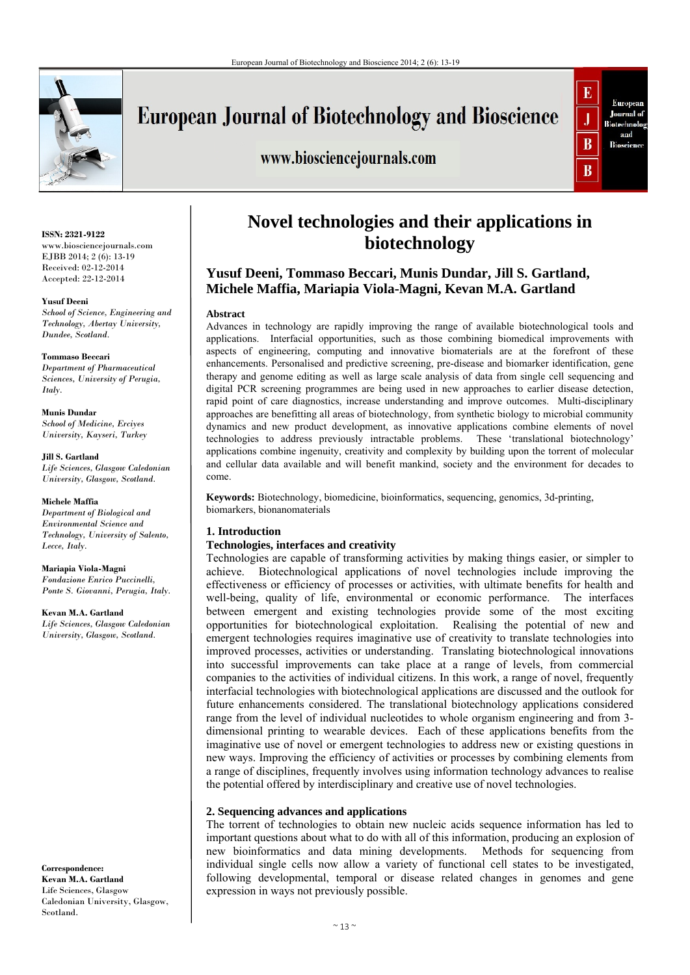

# **European Journal of Biotechnology and Bioscience**

## www.biosciencejournals.com



#### **ISSN: 2321-9122**  www.biosciencejournals.com EJBB 2014; 2 (6): 13-19 Received: 02-12-2014 Accepted: 22-12-2014

#### **Yusuf Deeni**

*School of Science, Engineering and Technology, Abertay University, Dundee, Scotland.* 

#### **Tommaso Beccari**

*Department of Pharmaceutical Sciences, University of Perugia, Italy.* 

**Munis Dundar**  *School of Medicine, Erciyes University, Kayseri, Turkey* 

**Jill S. Gartland**  *Life Sciences, Glasgow Caledonian University, Glasgow, Scotland.* 

#### **Michele Maffia**

*Department of Biological and Environmental Science and Technology, University of Salento, Lecce, Italy.* 

**Mariapia Viola-Magni** *Fondazione Enrico Puccinelli, Ponte S. Giovanni, Perugia, Italy.* 

**Kevan M.A. Gartland** *Life Sciences, Glasgow Caledonian University, Glasgow, Scotland.*

**Correspondence: Kevan M.A. Gartland**  Life Sciences, Glasgow Caledonian University, Glasgow, Scotland.

# **Novel technologies and their applications in biotechnology**

## **Yusuf Deeni, Tommaso Beccari, Munis Dundar, Jill S. Gartland, Michele Maffia, Mariapia Viola-Magni, Kevan M.A. Gartland**

#### **Abstract**

Advances in technology are rapidly improving the range of available biotechnological tools and applications. Interfacial opportunities, such as those combining biomedical improvements with aspects of engineering, computing and innovative biomaterials are at the forefront of these enhancements. Personalised and predictive screening, pre-disease and biomarker identification, gene therapy and genome editing as well as large scale analysis of data from single cell sequencing and digital PCR screening programmes are being used in new approaches to earlier disease detection, rapid point of care diagnostics, increase understanding and improve outcomes. Multi-disciplinary approaches are benefitting all areas of biotechnology, from synthetic biology to microbial community dynamics and new product development, as innovative applications combine elements of novel technologies to address previously intractable problems. These 'translational biotechnology' applications combine ingenuity, creativity and complexity by building upon the torrent of molecular and cellular data available and will benefit mankind, society and the environment for decades to come.

**Keywords:** Biotechnology, biomedicine, bioinformatics, sequencing, genomics, 3d-printing, biomarkers, bionanomaterials

### **1. Introduction**

#### **Technologies, interfaces and creativity**

Technologies are capable of transforming activities by making things easier, or simpler to achieve. Biotechnological applications of novel technologies include improving the effectiveness or efficiency of processes or activities, with ultimate benefits for health and well-being, quality of life, environmental or economic performance. The interfaces between emergent and existing technologies provide some of the most exciting opportunities for biotechnological exploitation. Realising the potential of new and emergent technologies requires imaginative use of creativity to translate technologies into improved processes, activities or understanding. Translating biotechnological innovations into successful improvements can take place at a range of levels, from commercial companies to the activities of individual citizens. In this work, a range of novel, frequently interfacial technologies with biotechnological applications are discussed and the outlook for future enhancements considered. The translational biotechnology applications considered range from the level of individual nucleotides to whole organism engineering and from 3 dimensional printing to wearable devices. Each of these applications benefits from the imaginative use of novel or emergent technologies to address new or existing questions in new ways. Improving the efficiency of activities or processes by combining elements from a range of disciplines, frequently involves using information technology advances to realise the potential offered by interdisciplinary and creative use of novel technologies.

### **2. Sequencing advances and applications**

The torrent of technologies to obtain new nucleic acids sequence information has led to important questions about what to do with all of this information, producing an explosion of new bioinformatics and data mining developments. Methods for sequencing from individual single cells now allow a variety of functional cell states to be investigated, following developmental, temporal or disease related changes in genomes and gene expression in ways not previously possible.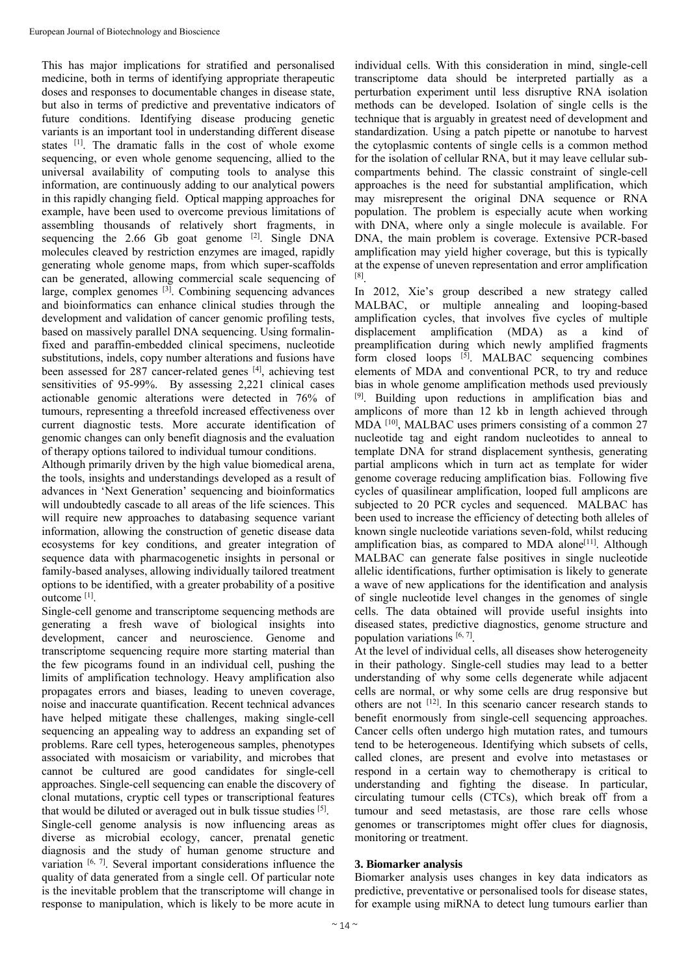This has major implications for stratified and personalised medicine, both in terms of identifying appropriate therapeutic doses and responses to documentable changes in disease state, but also in terms of predictive and preventative indicators of future conditions. Identifying disease producing genetic variants is an important tool in understanding different disease states [1]. The dramatic falls in the cost of whole exome sequencing, or even whole genome sequencing, allied to the universal availability of computing tools to analyse this information, are continuously adding to our analytical powers in this rapidly changing field. Optical mapping approaches for example, have been used to overcome previous limitations of assembling thousands of relatively short fragments, in sequencing the  $2.66$  Gb goat genome  $[2]$ . Single DNA molecules cleaved by restriction enzymes are imaged, rapidly generating whole genome maps, from which super-scaffolds can be generated, allowing commercial scale sequencing of large, complex genomes  $^{[3]}$ . Combining sequencing advances and bioinformatics can enhance clinical studies through the development and validation of cancer genomic profiling tests, based on massively parallel DNA sequencing. Using formalinfixed and paraffin-embedded clinical specimens, nucleotide substitutions, indels, copy number alterations and fusions have been assessed for 287 cancer-related genes [4], achieving test sensitivities of 95-99%. By assessing 2,221 clinical cases actionable genomic alterations were detected in 76% of tumours, representing a threefold increased effectiveness over current diagnostic tests. More accurate identification of genomic changes can only benefit diagnosis and the evaluation of therapy options tailored to individual tumour conditions.

Although primarily driven by the high value biomedical arena, the tools, insights and understandings developed as a result of advances in 'Next Generation' sequencing and bioinformatics will undoubtedly cascade to all areas of the life sciences. This will require new approaches to databasing sequence variant information, allowing the construction of genetic disease data ecosystems for key conditions, and greater integration of sequence data with pharmacogenetic insights in personal or family-based analyses, allowing individually tailored treatment options to be identified, with a greater probability of a positive outcome [1].

Single-cell genome and transcriptome sequencing methods are generating a fresh wave of biological insights into development, cancer and neuroscience. Genome and transcriptome sequencing require more starting material than the few picograms found in an individual cell, pushing the limits of amplification technology. Heavy amplification also propagates errors and biases, leading to uneven coverage, noise and inaccurate quantification. Recent technical advances have helped mitigate these challenges, making single-cell sequencing an appealing way to address an expanding set of problems. Rare cell types, heterogeneous samples, phenotypes associated with mosaicism or variability, and microbes that cannot be cultured are good candidates for single-cell approaches. Single-cell sequencing can enable the discovery of clonal mutations, cryptic cell types or transcriptional features that would be diluted or averaged out in bulk tissue studies [5]. Single-cell genome analysis is now influencing areas as diverse as microbial ecology, cancer, prenatal genetic diagnosis and the study of human genome structure and variation  $[6, 7]$ . Several important considerations influence the quality of data generated from a single cell. Of particular note is the inevitable problem that the transcriptome will change in response to manipulation, which is likely to be more acute in

individual cells. With this consideration in mind, single-cell transcriptome data should be interpreted partially as a perturbation experiment until less disruptive RNA isolation methods can be developed. Isolation of single cells is the technique that is arguably in greatest need of development and standardization. Using a patch pipette or nanotube to harvest the cytoplasmic contents of single cells is a common method for the isolation of cellular RNA, but it may leave cellular subcompartments behind. The classic constraint of single-cell approaches is the need for substantial amplification, which may misrepresent the original DNA sequence or RNA population. The problem is especially acute when working with DNA, where only a single molecule is available. For DNA, the main problem is coverage. Extensive PCR-based amplification may yield higher coverage, but this is typically at the expense of uneven representation and error amplification [8].

In 2012, Xie's group described a new strategy called MALBAC, or multiple annealing and looping-based amplification cycles, that involves five cycles of multiple displacement amplification (MDA) as a kind of preamplification during which newly amplified fragments form closed loops [5]. MALBAC sequencing combines elements of MDA and conventional PCR, to try and reduce bias in whole genome amplification methods used previously [9]. Building upon reductions in amplification bias and amplicons of more than 12 kb in length achieved through  $MDA$  [10], MALBAC uses primers consisting of a common  $27$ nucleotide tag and eight random nucleotides to anneal to template DNA for strand displacement synthesis, generating partial amplicons which in turn act as template for wider genome coverage reducing amplification bias. Following five cycles of quasilinear amplification, looped full amplicons are subjected to 20 PCR cycles and sequenced. MALBAC has been used to increase the efficiency of detecting both alleles of known single nucleotide variations seven-fold, whilst reducing amplification bias, as compared to MDA alone<sup>[11]</sup>. Although MALBAC can generate false positives in single nucleotide allelic identifications, further optimisation is likely to generate a wave of new applications for the identification and analysis of single nucleotide level changes in the genomes of single cells. The data obtained will provide useful insights into diseased states, predictive diagnostics, genome structure and population variations  $[6, 7]$ .

At the level of individual cells, all diseases show heterogeneity in their pathology. Single-cell studies may lead to a better understanding of why some cells degenerate while adjacent cells are normal, or why some cells are drug responsive but others are not  $[12]$ . In this scenario cancer research stands to benefit enormously from single-cell sequencing approaches. Cancer cells often undergo high mutation rates, and tumours tend to be heterogeneous. Identifying which subsets of cells, called clones, are present and evolve into metastases or respond in a certain way to chemotherapy is critical to understanding and fighting the disease. In particular, circulating tumour cells (CTCs), which break off from a tumour and seed metastasis, are those rare cells whose genomes or transcriptomes might offer clues for diagnosis, monitoring or treatment.

### **3. Biomarker analysis**

Biomarker analysis uses changes in key data indicators as predictive, preventative or personalised tools for disease states, for example using miRNA to detect lung tumours earlier than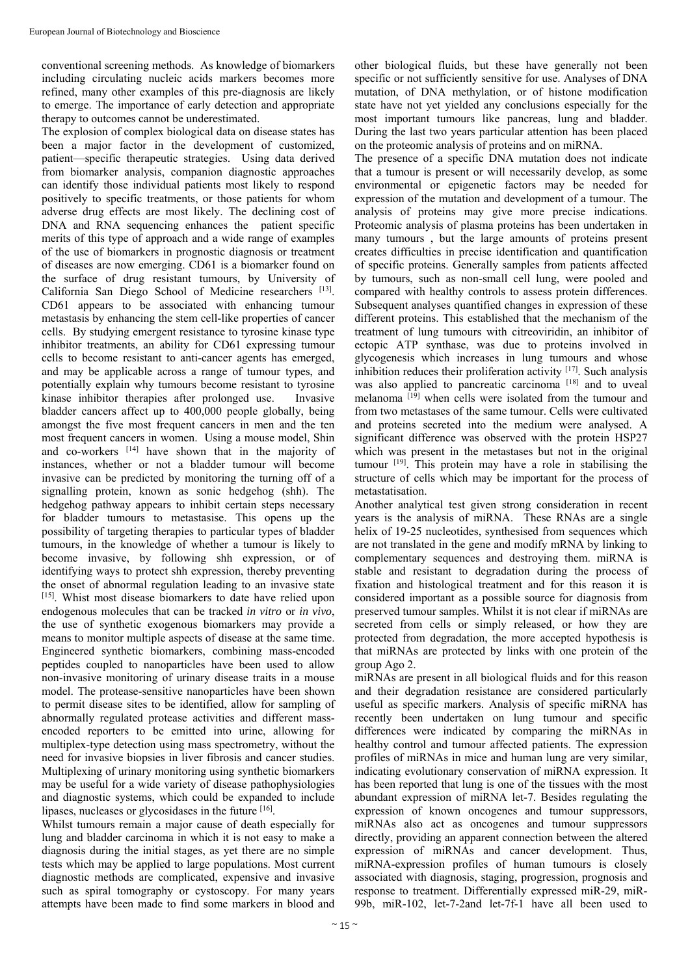conventional screening methods. As knowledge of biomarkers including circulating nucleic acids markers becomes more refined, many other examples of this pre-diagnosis are likely to emerge. The importance of early detection and appropriate therapy to outcomes cannot be underestimated.

The explosion of complex biological data on disease states has been a major factor in the development of customized, patient—specific therapeutic strategies. Using data derived from biomarker analysis, companion diagnostic approaches can identify those individual patients most likely to respond positively to specific treatments, or those patients for whom adverse drug effects are most likely. The declining cost of DNA and RNA sequencing enhances the patient specific merits of this type of approach and a wide range of examples of the use of biomarkers in prognostic diagnosis or treatment of diseases are now emerging. CD61 is a biomarker found on the surface of drug resistant tumours, by University of California San Diego School of Medicine researchers [13]. CD61 appears to be associated with enhancing tumour metastasis by enhancing the stem cell-like properties of cancer cells. By studying emergent resistance to tyrosine kinase type inhibitor treatments, an ability for CD61 expressing tumour cells to become resistant to anti-cancer agents has emerged, and may be applicable across a range of tumour types, and potentially explain why tumours become resistant to tyrosine kinase inhibitor therapies after prolonged use. Invasive bladder cancers affect up to 400,000 people globally, being amongst the five most frequent cancers in men and the ten most frequent cancers in women. Using a mouse model, Shin and co-workers [14] have shown that in the majority of instances, whether or not a bladder tumour will become invasive can be predicted by monitoring the turning off of a signalling protein, known as sonic hedgehog (shh). The hedgehog pathway appears to inhibit certain steps necessary for bladder tumours to metastasise. This opens up the possibility of targeting therapies to particular types of bladder tumours, in the knowledge of whether a tumour is likely to become invasive, by following shh expression, or of identifying ways to protect shh expression, thereby preventing the onset of abnormal regulation leading to an invasive state [15]. Whist most disease biomarkers to date have relied upon endogenous molecules that can be tracked *in vitro* or *in vivo*, the use of synthetic exogenous biomarkers may provide a means to monitor multiple aspects of disease at the same time. Engineered synthetic biomarkers, combining mass-encoded peptides coupled to nanoparticles have been used to allow non-invasive monitoring of urinary disease traits in a mouse model. The protease-sensitive nanoparticles have been shown to permit disease sites to be identified, allow for sampling of abnormally regulated protease activities and different massencoded reporters to be emitted into urine, allowing for multiplex-type detection using mass spectrometry, without the need for invasive biopsies in liver fibrosis and cancer studies. Multiplexing of urinary monitoring using synthetic biomarkers may be useful for a wide variety of disease pathophysiologies and diagnostic systems, which could be expanded to include lipases, nucleases or glycosidases in the future [16].

Whilst tumours remain a major cause of death especially for lung and bladder carcinoma in which it is not easy to make a diagnosis during the initial stages, as yet there are no simple tests which may be applied to large populations. Most current diagnostic methods are complicated, expensive and invasive such as spiral tomography or cystoscopy. For many years attempts have been made to find some markers in blood and

other biological fluids, but these have generally not been specific or not sufficiently sensitive for use. Analyses of DNA mutation, of DNA methylation, or of histone modification state have not yet yielded any conclusions especially for the most important tumours like pancreas, lung and bladder. During the last two years particular attention has been placed on the proteomic analysis of proteins and on miRNA.

The presence of a specific DNA mutation does not indicate that a tumour is present or will necessarily develop, as some environmental or epigenetic factors may be needed for expression of the mutation and development of a tumour. The analysis of proteins may give more precise indications. Proteomic analysis of plasma proteins has been undertaken in many tumours , but the large amounts of proteins present creates difficulties in precise identification and quantification of specific proteins. Generally samples from patients affected by tumours, such as non-small cell lung, were pooled and compared with healthy controls to assess protein differences. Subsequent analyses quantified changes in expression of these different proteins. This established that the mechanism of the treatment of lung tumours with citreoviridin, an inhibitor of ectopic ATP synthase, was due to proteins involved in glycogenesis which increases in lung tumours and whose inhibition reduces their proliferation activity [17]. Such analysis was also applied to pancreatic carcinoma<sup>[18]</sup> and to uveal melanoma  $[19]$  when cells were isolated from the tumour and from two metastases of the same tumour. Cells were cultivated and proteins secreted into the medium were analysed. A significant difference was observed with the protein HSP27 which was present in the metastases but not in the original tumour [19]. This protein may have a role in stabilising the structure of cells which may be important for the process of metastatisation.

Another analytical test given strong consideration in recent years is the analysis of miRNA. These RNAs are a single helix of 19-25 nucleotides, synthesised from sequences which are not translated in the gene and modify mRNA by linking to complementary sequences and destroying them. miRNA is stable and resistant to degradation during the process of fixation and histological treatment and for this reason it is considered important as a possible source for diagnosis from preserved tumour samples. Whilst it is not clear if miRNAs are secreted from cells or simply released, or how they are protected from degradation, the more accepted hypothesis is that miRNAs are protected by links with one protein of the group Ago 2.

miRNAs are present in all biological fluids and for this reason and their degradation resistance are considered particularly useful as specific markers. Analysis of specific miRNA has recently been undertaken on lung tumour and specific differences were indicated by comparing the miRNAs in healthy control and tumour affected patients. The expression profiles of miRNAs in mice and human lung are very similar, indicating evolutionary conservation of miRNA expression. It has been reported that lung is one of the tissues with the most abundant expression of miRNA let-7. Besides regulating the expression of known oncogenes and tumour suppressors, miRNAs also act as oncogenes and tumour suppressors directly, providing an apparent connection between the altered expression of miRNAs and cancer development. Thus, miRNA-expression profiles of human tumours is closely associated with diagnosis, staging, progression, prognosis and response to treatment. Differentially expressed miR-29, miR-99b, miR-102, let-7-2and let-7f-1 have all been used to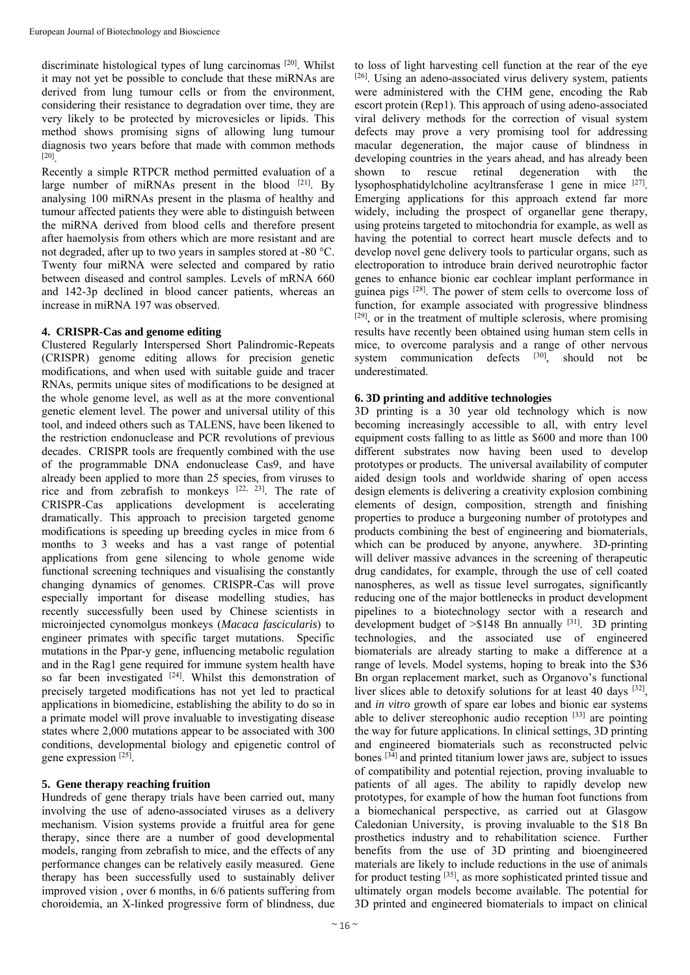discriminate histological types of lung carcinomas [20]. Whilst it may not yet be possible to conclude that these miRNAs are derived from lung tumour cells or from the environment, considering their resistance to degradation over time, they are very likely to be protected by microvesicles or lipids. This method shows promising signs of allowing lung tumour diagnosis two years before that made with common methods [20].

Recently a simple RTPCR method permitted evaluation of a large number of miRNAs present in the blood [21]. By analysing 100 miRNAs present in the plasma of healthy and tumour affected patients they were able to distinguish between the miRNA derived from blood cells and therefore present after haemolysis from others which are more resistant and are not degraded, after up to two years in samples stored at -80 °C. Twenty four miRNA were selected and compared by ratio between diseased and control samples. Levels of mRNA 660 and 142-3p declined in blood cancer patients, whereas an increase in miRNA 197 was observed.

### **4. CRISPR-Cas and genome editing**

Clustered Regularly Interspersed Short Palindromic-Repeats (CRISPR) genome editing allows for precision genetic modifications, and when used with suitable guide and tracer RNAs, permits unique sites of modifications to be designed at the whole genome level, as well as at the more conventional genetic element level. The power and universal utility of this tool, and indeed others such as TALENS, have been likened to the restriction endonuclease and PCR revolutions of previous decades. CRISPR tools are frequently combined with the use of the programmable DNA endonuclease Cas9, and have already been applied to more than 25 species, from viruses to rice and from zebrafish to monkeys  $[22, 23]$ . The rate of CRISPR-Cas applications development is accelerating dramatically. This approach to precision targeted genome modifications is speeding up breeding cycles in mice from 6 months to 3 weeks and has a vast range of potential applications from gene silencing to whole genome wide functional screening techniques and visualising the constantly changing dynamics of genomes. CRISPR-Cas will prove especially important for disease modelling studies, has recently successfully been used by Chinese scientists in microinjected cynomolgus monkeys (*Macaca fascicularis*) to engineer primates with specific target mutations. Specific mutations in the Ppar-y gene, influencing metabolic regulation and in the Rag1 gene required for immune system health have so far been investigated  $[24]$ . Whilst this demonstration of precisely targeted modifications has not yet led to practical applications in biomedicine, establishing the ability to do so in a primate model will prove invaluable to investigating disease states where 2,000 mutations appear to be associated with 300 conditions, developmental biology and epigenetic control of gene expression [25].

### **5. Gene therapy reaching fruition**

Hundreds of gene therapy trials have been carried out, many involving the use of adeno-associated viruses as a delivery mechanism. Vision systems provide a fruitful area for gene therapy, since there are a number of good developmental models, ranging from zebrafish to mice, and the effects of any performance changes can be relatively easily measured. Gene therapy has been successfully used to sustainably deliver improved vision , over 6 months, in 6/6 patients suffering from choroidemia, an X-linked progressive form of blindness, due

to loss of light harvesting cell function at the rear of the eye [26]. Using an adeno-associated virus delivery system, patients were administered with the CHM gene, encoding the Rab escort protein (Rep1). This approach of using adeno-associated viral delivery methods for the correction of visual system defects may prove a very promising tool for addressing macular degeneration, the major cause of blindness in developing countries in the years ahead, and has already been shown to rescue retinal degeneration with the lysophosphatidylcholine acyltransferase 1 gene in mice [27]. Emerging applications for this approach extend far more widely, including the prospect of organellar gene therapy, using proteins targeted to mitochondria for example, as well as having the potential to correct heart muscle defects and to develop novel gene delivery tools to particular organs, such as electroporation to introduce brain derived neurotrophic factor genes to enhance bionic ear cochlear implant performance in guinea pigs  $^{[28]}$ . The power of stem cells to overcome loss of function, for example associated with progressive blindness [29], or in the treatment of multiple sclerosis, where promising results have recently been obtained using human stem cells in mice, to overcome paralysis and a range of other nervous system communication defects [30], should not be underestimated.

## **6. 3D printing and additive technologies**

3D printing is a 30 year old technology which is now becoming increasingly accessible to all, with entry level equipment costs falling to as little as \$600 and more than 100 different substrates now having been used to develop prototypes or products. The universal availability of computer aided design tools and worldwide sharing of open access design elements is delivering a creativity explosion combining elements of design, composition, strength and finishing properties to produce a burgeoning number of prototypes and products combining the best of engineering and biomaterials, which can be produced by anyone, anywhere. 3D-printing will deliver massive advances in the screening of therapeutic drug candidates, for example, through the use of cell coated nanospheres, as well as tissue level surrogates, significantly reducing one of the major bottlenecks in product development pipelines to a biotechnology sector with a research and development budget of  $> $148$  Bn annually [31]. 3D printing technologies, and the associated use of engineered biomaterials are already starting to make a difference at a range of levels. Model systems, hoping to break into the \$36 Bn organ replacement market, such as Organovo's functional liver slices able to detoxify solutions for at least 40 days [32], and *in vitro* growth of spare ear lobes and bionic ear systems able to deliver stereophonic audio reception [33] are pointing the way for future applications. In clinical settings, 3D printing and engineered biomaterials such as reconstructed pelvic bones  $[34]$  and printed titanium lower jaws are, subject to issues of compatibility and potential rejection, proving invaluable to patients of all ages. The ability to rapidly develop new prototypes, for example of how the human foot functions from a biomechanical perspective, as carried out at Glasgow Caledonian University, is proving invaluable to the \$18 Bn prosthetics industry and to rehabilitation science. Further benefits from the use of 3D printing and bioengineered materials are likely to include reductions in the use of animals for product testing [35], as more sophisticated printed tissue and ultimately organ models become available. The potential for 3D printed and engineered biomaterials to impact on clinical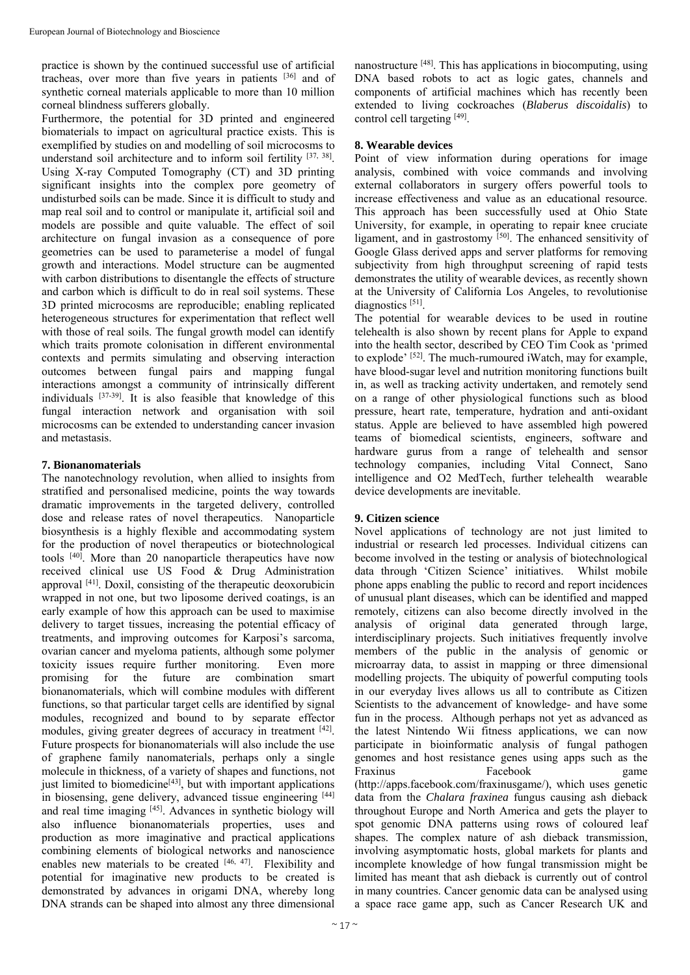practice is shown by the continued successful use of artificial tracheas, over more than five years in patients [36] and of synthetic corneal materials applicable to more than 10 million corneal blindness sufferers globally.

Furthermore, the potential for 3D printed and engineered biomaterials to impact on agricultural practice exists. This is exemplified by studies on and modelling of soil microcosms to understand soil architecture and to inform soil fertility [37, 38]. Using X-ray Computed Tomography (CT) and 3D printing significant insights into the complex pore geometry of undisturbed soils can be made. Since it is difficult to study and map real soil and to control or manipulate it, artificial soil and models are possible and quite valuable. The effect of soil architecture on fungal invasion as a consequence of pore geometries can be used to parameterise a model of fungal growth and interactions. Model structure can be augmented with carbon distributions to disentangle the effects of structure and carbon which is difficult to do in real soil systems. These 3D printed microcosms are reproducible; enabling replicated heterogeneous structures for experimentation that reflect well with those of real soils. The fungal growth model can identify which traits promote colonisation in different environmental contexts and permits simulating and observing interaction outcomes between fungal pairs and mapping fungal interactions amongst a community of intrinsically different individuals [37-39]. It is also feasible that knowledge of this fungal interaction network and organisation with soil microcosms can be extended to understanding cancer invasion and metastasis.

## **7. Bionanomaterials**

The nanotechnology revolution, when allied to insights from stratified and personalised medicine, points the way towards dramatic improvements in the targeted delivery, controlled dose and release rates of novel therapeutics. Nanoparticle biosynthesis is a highly flexible and accommodating system for the production of novel therapeutics or biotechnological tools [40]. More than 20 nanoparticle therapeutics have now received clinical use US Food & Drug Administration approval [41]. Doxil, consisting of the therapeutic deoxorubicin wrapped in not one, but two liposome derived coatings, is an early example of how this approach can be used to maximise delivery to target tissues, increasing the potential efficacy of treatments, and improving outcomes for Karposi's sarcoma, ovarian cancer and myeloma patients, although some polymer toxicity issues require further monitoring. Even more promising for the future are combination smart bionanomaterials, which will combine modules with different functions, so that particular target cells are identified by signal modules, recognized and bound to by separate effector modules, giving greater degrees of accuracy in treatment [42]. Future prospects for bionanomaterials will also include the use of graphene family nanomaterials, perhaps only a single molecule in thickness, of a variety of shapes and functions, not just limited to biomedicine $[43]$ , but with important applications in biosensing, gene delivery, advanced tissue engineering [44] and real time imaging [45]. Advances in synthetic biology will also influence bionanomaterials properties, uses and production as more imaginative and practical applications combining elements of biological networks and nanoscience enables new materials to be created  $[46, 47]$ . Flexibility and potential for imaginative new products to be created is demonstrated by advances in origami DNA, whereby long DNA strands can be shaped into almost any three dimensional

nanostructure [48]. This has applications in biocomputing, using DNA based robots to act as logic gates, channels and components of artificial machines which has recently been extended to living cockroaches (*Blaberus discoidalis*) to control cell targeting [49].

## **8. Wearable devices**

Point of view information during operations for image analysis, combined with voice commands and involving external collaborators in surgery offers powerful tools to increase effectiveness and value as an educational resource. This approach has been successfully used at Ohio State University, for example, in operating to repair knee cruciate ligament, and in gastrostomy [50]. The enhanced sensitivity of Google Glass derived apps and server platforms for removing subjectivity from high throughput screening of rapid tests demonstrates the utility of wearable devices, as recently shown at the University of California Los Angeles, to revolutionise diagnostics [51].

The potential for wearable devices to be used in routine telehealth is also shown by recent plans for Apple to expand into the health sector, described by CEO Tim Cook as 'primed to explode' [52]. The much-rumoured iWatch, may for example, have blood-sugar level and nutrition monitoring functions built in, as well as tracking activity undertaken, and remotely send on a range of other physiological functions such as blood pressure, heart rate, temperature, hydration and anti-oxidant status. Apple are believed to have assembled high powered teams of biomedical scientists, engineers, software and hardware gurus from a range of telehealth and sensor technology companies, including Vital Connect, Sano intelligence and O2 MedTech, further telehealth wearable device developments are inevitable.

## **9. Citizen science**

Novel applications of technology are not just limited to industrial or research led processes. Individual citizens can become involved in the testing or analysis of biotechnological data through 'Citizen Science' initiatives. Whilst mobile phone apps enabling the public to record and report incidences of unusual plant diseases, which can be identified and mapped remotely, citizens can also become directly involved in the analysis of original data generated through large, interdisciplinary projects. Such initiatives frequently involve members of the public in the analysis of genomic or microarray data, to assist in mapping or three dimensional modelling projects. The ubiquity of powerful computing tools in our everyday lives allows us all to contribute as Citizen Scientists to the advancement of knowledge- and have some fun in the process. Although perhaps not yet as advanced as the latest Nintendo Wii fitness applications, we can now participate in bioinformatic analysis of fungal pathogen genomes and host resistance genes using apps such as the Fraxinus Facebook game (http://apps.facebook.com/fraxinusgame/), which uses genetic data from the *Chalara fraxinea* fungus causing ash dieback throughout Europe and North America and gets the player to spot genomic DNA patterns using rows of coloured leaf shapes. The complex nature of ash dieback transmission, involving asymptomatic hosts, global markets for plants and incomplete knowledge of how fungal transmission might be limited has meant that ash dieback is currently out of control in many countries. Cancer genomic data can be analysed using a space race game app, such as Cancer Research UK and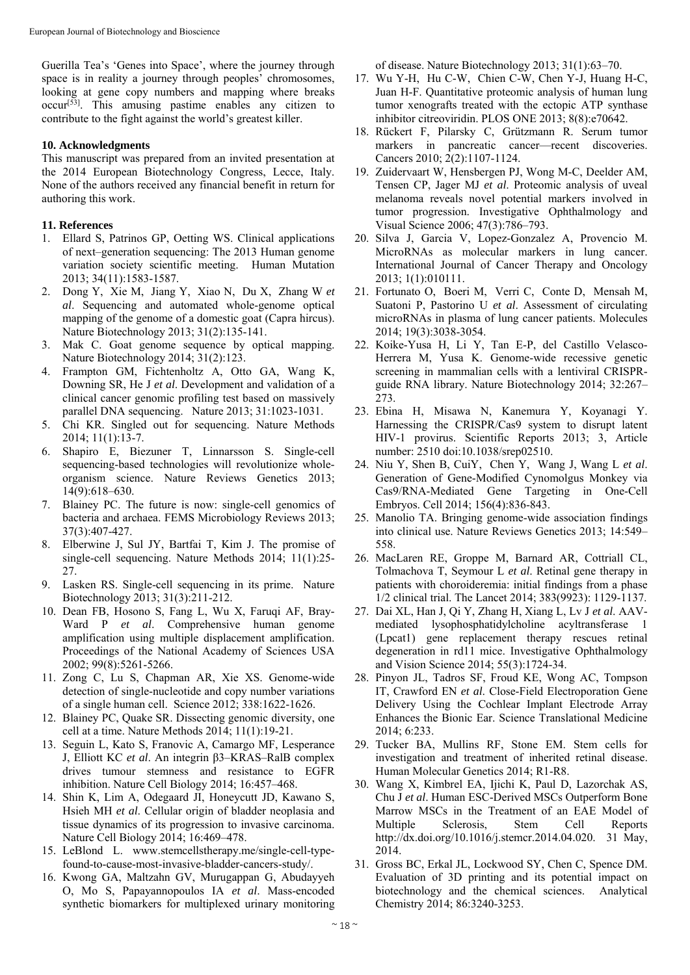Guerilla Tea's 'Genes into Space', where the journey through space is in reality a journey through peoples' chromosomes, looking at gene copy numbers and mapping where breaks occur[53]. This amusing pastime enables any citizen to contribute to the fight against the world's greatest killer.

### **10. Acknowledgments**

This manuscript was prepared from an invited presentation at the 2014 European Biotechnology Congress, Lecce, Italy. None of the authors received any financial benefit in return for authoring this work.

#### **11. References**

- 1. Ellard S, Patrinos GP, Oetting WS. Clinical applications of next–generation sequencing: The 2013 Human genome variation society scientific meeting. Human Mutation 2013; 34(11):1583-1587.
- 2. Dong Y, Xie M, Jiang Y, Xiao N, Du X, Zhang W *et al*. Sequencing and automated whole-genome optical mapping of the genome of a domestic goat (Capra hircus). Nature Biotechnology 2013; 31(2):135-141.
- 3. Mak C. Goat genome sequence by optical mapping. Nature Biotechnology 2014; 31(2):123.
- 4. Frampton GM, Fichtenholtz A, Otto GA, Wang K, Downing SR, He J *et al*. Development and validation of a clinical cancer genomic profiling test based on massively parallel DNA sequencing. Nature 2013; 31:1023-1031.
- 5. Chi KR. Singled out for sequencing. Nature Methods 2014; 11(1):13-7.
- 6. Shapiro E, Biezuner T, Linnarsson S. Single-cell sequencing-based technologies will revolutionize wholeorganism science. Nature Reviews Genetics 2013; 14(9):618–630.
- 7. Blainey PC. The future is now: single-cell genomics of bacteria and archaea. FEMS Microbiology Reviews 2013; 37(3):407-427.
- 8. Elberwine J, Sul JY, Bartfai T, Kim J. The promise of single-cell sequencing. Nature Methods 2014; 11(1):25- 27.
- 9. Lasken RS. Single-cell sequencing in its prime. Nature Biotechnology 2013; 31(3):211-212.
- 10. Dean FB, Hosono S, Fang L, Wu X, Faruqi AF, Bray-Ward P *et al*. Comprehensive human genome amplification using multiple displacement amplification. Proceedings of the National Academy of Sciences USA 2002; 99(8):5261-5266.
- 11. Zong C, Lu S, Chapman AR, Xie XS. Genome-wide detection of single-nucleotide and copy number variations of a single human cell. Science 2012; 338:1622-1626.
- 12. Blainey PC, Quake SR. Dissecting genomic diversity, one cell at a time. Nature Methods 2014; 11(1):19-21.
- 13. Seguin L, Kato S, Franovic A, Camargo MF, Lesperance J, Elliott KC *et al*. An integrin β3–KRAS–RalB complex drives tumour stemness and resistance to EGFR inhibition. Nature Cell Biology 2014; 16:457–468.
- 14. Shin K, Lim A, Odegaard JI, Honeycutt JD, Kawano S, Hsieh MH *et al*. Cellular origin of bladder neoplasia and tissue dynamics of its progression to invasive carcinoma. Nature Cell Biology 2014; 16:469–478.
- 15. LeBlond L. www.stemcellstherapy.me/single-cell-typefound-to-cause-most-invasive-bladder-cancers-study/.
- 16. Kwong GA, Maltzahn GV, Murugappan G, Abudayyeh O, Mo S, Papayannopoulos IA *et al*. Mass-encoded synthetic biomarkers for multiplexed urinary monitoring

of disease. Nature Biotechnology 2013; 31(1):63–70.

- 17. Wu Y-H, Hu C-W, Chien C-W, Chen Y-J, Huang H-C, Juan H-F. Quantitative proteomic analysis of human lung tumor xenografts treated with the ectopic ATP synthase inhibitor citreoviridin. PLOS ONE 2013; 8(8):e70642.
- 18. Rückert F, Pilarsky C, Grützmann R. Serum tumor markers in pancreatic cancer—recent discoveries. Cancers 2010; 2(2):1107-1124.
- 19. Zuidervaart W, Hensbergen PJ, Wong M-C, Deelder AM, Tensen CP, Jager MJ *et al*. Proteomic analysis of uveal melanoma reveals novel potential markers involved in tumor progression. Investigative Ophthalmology and Visual Science 2006; 47(3):786–793.
- 20. Silva J, Garcia V, Lopez-Gonzalez A, Provencio M. MicroRNAs as molecular markers in lung cancer. International Journal of Cancer Therapy and Oncology 2013; 1(1):010111.
- 21. Fortunato O, Boeri M, Verri C, Conte D, Mensah M, Suatoni P, Pastorino U *et al*. Assessment of circulating microRNAs in plasma of lung cancer patients. Molecules 2014; 19(3):3038-3054.
- 22. Koike-Yusa H, Li Y, Tan E-P, del Castillo Velasco-Herrera M, Yusa K. Genome-wide recessive genetic screening in mammalian cells with a lentiviral CRISPRguide RNA library. Nature Biotechnology 2014; 32:267– 273.
- 23. Ebina H, Misawa N, Kanemura Y, Koyanagi Y. Harnessing the CRISPR/Cas9 system to disrupt latent HIV-1 provirus. Scientific Reports 2013; 3, Article number: 2510 doi:10.1038/srep02510.
- 24. Niu Y, Shen B, CuiY, Chen Y, Wang J, Wang L *et al*. Generation of Gene-Modified Cynomolgus Monkey via Cas9/RNA-Mediated Gene Targeting in One-Cell Embryos. Cell 2014; 156(4):836-843.
- 25. Manolio TA. Bringing genome-wide association findings into clinical use. Nature Reviews Genetics 2013; 14:549– 558.
- 26. MacLaren RE, Groppe M, Barnard AR, Cottriall CL, Tolmachova T, Seymour L *et al*. Retinal gene therapy in patients with choroideremia: initial findings from a phase 1/2 clinical trial. The Lancet 2014; 383(9923): 1129-1137.
- 27. Dai XL, Han J, Qi Y, Zhang H, Xiang L, Lv J *et al*. AAVmediated lysophosphatidylcholine acyltransferase 1 (Lpcat1) gene replacement therapy rescues retinal degeneration in rd11 mice. Investigative Ophthalmology and Vision Science 2014; 55(3):1724-34.
- 28. Pinyon JL, Tadros SF, Froud KE, Wong AC, Tompson IT, Crawford EN *et al*. Close-Field Electroporation Gene Delivery Using the Cochlear Implant Electrode Array Enhances the Bionic Ear. Science Translational Medicine 2014; 6:233.
- 29. Tucker BA, Mullins RF, Stone EM. Stem cells for investigation and treatment of inherited retinal disease. Human Molecular Genetics 2014; R1-R8.
- 30. Wang X, Kimbrel EA, Ijichi K, Paul D, Lazorchak AS, Chu J *et al*. Human ESC-Derived MSCs Outperform Bone Marrow MSCs in the Treatment of an EAE Model of Multiple Sclerosis, Stem Cell Reports http://dx.doi.org/10.1016/j.stemcr.2014.04.020. 31 May, 2014.
- 31. Gross BC, Erkal JL, Lockwood SY, Chen C, Spence DM. Evaluation of 3D printing and its potential impact on biotechnology and the chemical sciences. Analytical Chemistry 2014; 86:3240-3253.